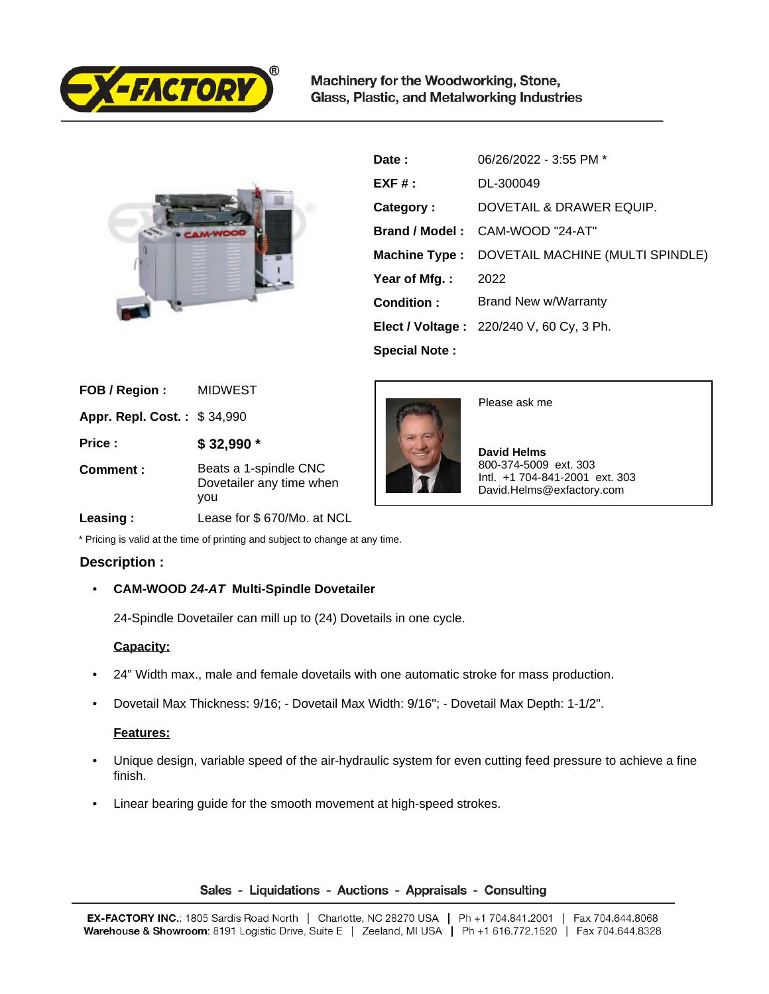

Machinery for the Woodworking, Stone, Glass, Plastic, and Metalworking Industries



| Date:                | 06/26/2022 - 3:55 PM *                            |
|----------------------|---------------------------------------------------|
| $EXF#$ :             | DL-300049                                         |
| Category:            | DOVETAIL & DRAWER EQUIP.                          |
|                      | Brand / Model: CAM-WOOD "24-AT"                   |
| <b>Machine Type:</b> | DOVETAIL MACHINE (MULTI SPINDLE)                  |
| Year of Mfg.:        | 2022                                              |
| Condition:           | Brand New w/Warranty                              |
|                      | <b>Elect / Voltage:</b> $220/240$ V, 60 Cy, 3 Ph. |
| <b>Special Note:</b> |                                                   |

| FOB / Region:               | <b>MIDWEST</b>                                           |
|-----------------------------|----------------------------------------------------------|
| Appr. Repl. Cost.: \$34,990 |                                                          |
| Price:                      | $$32,990$ *                                              |
| Comment:                    | Beats a 1-spindle CNC<br>Dovetailer any time when<br>vou |



Please ask me

 **David Helms** 800-374-5009 ext. 303 Intl. +1 704-841-2001 ext. 303 David.Helms@exfactory.com

### **Leasing :** Lease for \$ 670/Mo. at NCL

\* Pricing is valid at the time of printing and subject to change at any time.

# **Description :**

# • **CAM-WOOD 24-AT Multi-Spindle Dovetailer**

24-Spindle Dovetailer can mill up to (24) Dovetails in one cycle.

# **Capacity:**

- 24" Width max., male and female dovetails with one automatic stroke for mass production.
- Dovetail Max Thickness: 9/16; Dovetail Max Width: 9/16"; Dovetail Max Depth: 1-1/2".

# **Features:**

- Unique design, variable speed of the air-hydraulic system for even cutting feed pressure to achieve a fine finish.
- Linear bearing guide for the smooth movement at high-speed strokes.

### Sales - Liquidations - Auctions - Appraisals - Consulting